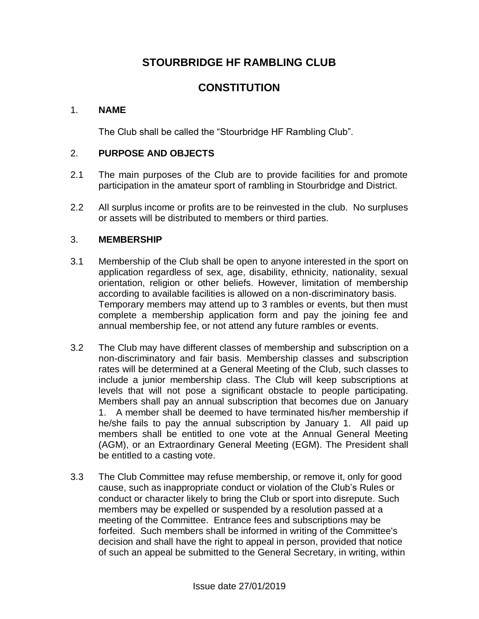# **STOURBRIDGE HF RAMBLING CLUB**

# **CONSTITUTION**

### 1. **NAME**

The Club shall be called the "Stourbridge HF Rambling Club".

### 2. **PURPOSE AND OBJECTS**

- 2.1 The main purposes of the Club are to provide facilities for and promote participation in the amateur sport of rambling in Stourbridge and District.
- 2.2 All surplus income or profits are to be reinvested in the club. No surpluses or assets will be distributed to members or third parties.

#### 3. **MEMBERSHIP**

- 3.1 Membership of the Club shall be open to anyone interested in the sport on application regardless of sex, age, disability, ethnicity, nationality, sexual orientation, religion or other beliefs. However, limitation of membership according to available facilities is allowed on a non-discriminatory basis. Temporary members may attend up to 3 rambles or events, but then must complete a membership application form and pay the joining fee and annual membership fee, or not attend any future rambles or events.
- 3.2 The Club may have different classes of membership and subscription on a non-discriminatory and fair basis. Membership classes and subscription rates will be determined at a General Meeting of the Club, such classes to include a junior membership class. The Club will keep subscriptions at levels that will not pose a significant obstacle to people participating. Members shall pay an annual subscription that becomes due on January 1. A member shall be deemed to have terminated his/her membership if he/she fails to pay the annual subscription by January 1. All paid up members shall be entitled to one vote at the Annual General Meeting (AGM), or an Extraordinary General Meeting (EGM). The President shall be entitled to a casting vote.
- 3.3 The Club Committee may refuse membership, or remove it, only for good cause, such as inappropriate conduct or violation of the Club's Rules or conduct or character likely to bring the Club or sport into disrepute. Such members may be expelled or suspended by a resolution passed at a meeting of the Committee. Entrance fees and subscriptions may be forfeited. Such members shall be informed in writing of the Committee's decision and shall have the right to appeal in person, provided that notice of such an appeal be submitted to the General Secretary, in writing, within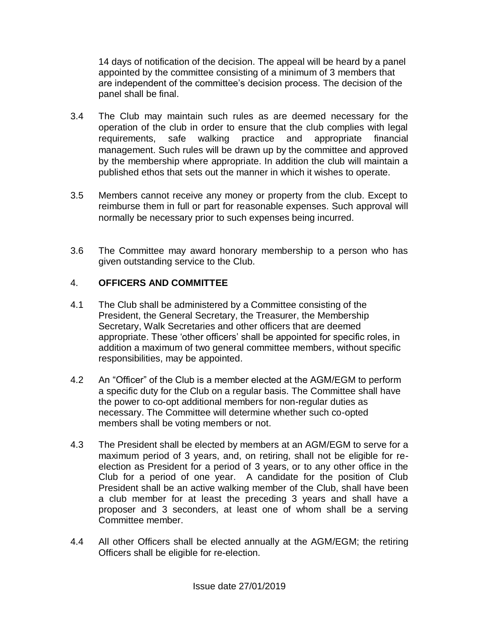14 days of notification of the decision. The appeal will be heard by a panel appointed by the committee consisting of a minimum of 3 members that are independent of the committee's decision process. The decision of the panel shall be final.

- 3.4 The Club may maintain such rules as are deemed necessary for the operation of the club in order to ensure that the club complies with legal requirements, safe walking practice and appropriate financial management. Such rules will be drawn up by the committee and approved by the membership where appropriate. In addition the club will maintain a published ethos that sets out the manner in which it wishes to operate.
- 3.5 Members cannot receive any money or property from the club. Except to reimburse them in full or part for reasonable expenses. Such approval will normally be necessary prior to such expenses being incurred.
- 3.6 The Committee may award honorary membership to a person who has given outstanding service to the Club.

## 4. **OFFICERS AND COMMITTEE**

- 4.1 The Club shall be administered by a Committee consisting of the President, the General Secretary, the Treasurer, the Membership Secretary, Walk Secretaries and other officers that are deemed appropriate. These 'other officers' shall be appointed for specific roles, in addition a maximum of two general committee members, without specific responsibilities, may be appointed.
- 4.2 An "Officer" of the Club is a member elected at the AGM/EGM to perform a specific duty for the Club on a regular basis. The Committee shall have the power to co-opt additional members for non-regular duties as necessary. The Committee will determine whether such co-opted members shall be voting members or not.
- 4.3 The President shall be elected by members at an AGM/EGM to serve for a maximum period of 3 years, and, on retiring, shall not be eligible for reelection as President for a period of 3 years, or to any other office in the Club for a period of one year. A candidate for the position of Club President shall be an active walking member of the Club, shall have been a club member for at least the preceding 3 years and shall have a proposer and 3 seconders, at least one of whom shall be a serving Committee member.
- 4.4 All other Officers shall be elected annually at the AGM/EGM; the retiring Officers shall be eligible for re-election.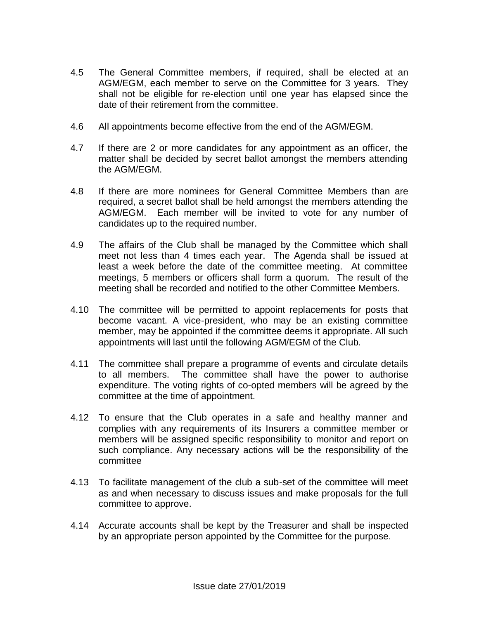- 4.5 The General Committee members, if required, shall be elected at an AGM/EGM, each member to serve on the Committee for 3 years. They shall not be eligible for re-election until one year has elapsed since the date of their retirement from the committee.
- 4.6 All appointments become effective from the end of the AGM/EGM.
- 4.7 If there are 2 or more candidates for any appointment as an officer, the matter shall be decided by secret ballot amongst the members attending the AGM/EGM.
- 4.8 If there are more nominees for General Committee Members than are required, a secret ballot shall be held amongst the members attending the AGM/EGM. Each member will be invited to vote for any number of candidates up to the required number.
- 4.9 The affairs of the Club shall be managed by the Committee which shall meet not less than 4 times each year. The Agenda shall be issued at least a week before the date of the committee meeting. At committee meetings, 5 members or officers shall form a quorum. The result of the meeting shall be recorded and notified to the other Committee Members.
- 4.10 The committee will be permitted to appoint replacements for posts that become vacant. A vice-president, who may be an existing committee member, may be appointed if the committee deems it appropriate. All such appointments will last until the following AGM/EGM of the Club.
- 4.11 The committee shall prepare a programme of events and circulate details to all members. The committee shall have the power to authorise expenditure. The voting rights of co-opted members will be agreed by the committee at the time of appointment.
- 4.12 To ensure that the Club operates in a safe and healthy manner and complies with any requirements of its Insurers a committee member or members will be assigned specific responsibility to monitor and report on such compliance. Any necessary actions will be the responsibility of the committee
- 4.13 To facilitate management of the club a sub-set of the committee will meet as and when necessary to discuss issues and make proposals for the full committee to approve.
- 4.14 Accurate accounts shall be kept by the Treasurer and shall be inspected by an appropriate person appointed by the Committee for the purpose.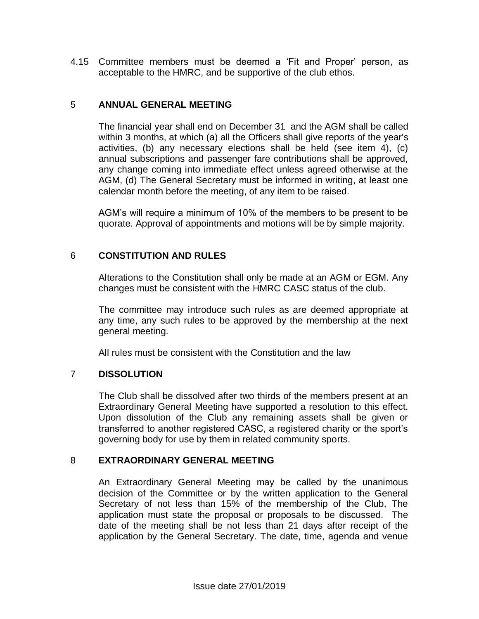4.15 Committee members must be deemed a 'Fit and Proper' person, as acceptable to the HMRC, and be supportive of the club ethos.

#### 5 **ANNUAL GENERAL MEETING**

The financial year shall end on December 31 and the AGM shall be called within 3 months, at which (a) all the Officers shall give reports of the year's activities, (b) any necessary elections shall be held (see item 4), (c) annual subscriptions and passenger fare contributions shall be approved, any change coming into immediate effect unless agreed otherwise at the AGM, (d) The General Secretary must be informed in writing, at least one calendar month before the meeting, of any item to be raised.

AGM's will require a minimum of 10% of the members to be present to be quorate. Approval of appointments and motions will be by simple majority.

#### 6 **CONSTITUTION AND RULES**

Alterations to the Constitution shall only be made at an AGM or EGM. Any changes must be consistent with the HMRC CASC status of the club.

The committee may introduce such rules as are deemed appropriate at any time, any such rules to be approved by the membership at the next general meeting.

All rules must be consistent with the Constitution and the law

#### 7 **DISSOLUTION**

The Club shall be dissolved after two thirds of the members present at an Extraordinary General Meeting have supported a resolution to this effect. Upon dissolution of the Club any remaining assets shall be given or transferred to another registered CASC, a registered charity or the sport's governing body for use by them in related community sports.

#### 8 **EXTRAORDINARY GENERAL MEETING**

An Extraordinary General Meeting may be called by the unanimous decision of the Committee or by the written application to the General Secretary of not less than 15% of the membership of the Club, The application must state the proposal or proposals to be discussed. The date of the meeting shall be not less than 21 days after receipt of the application by the General Secretary. The date, time, agenda and venue